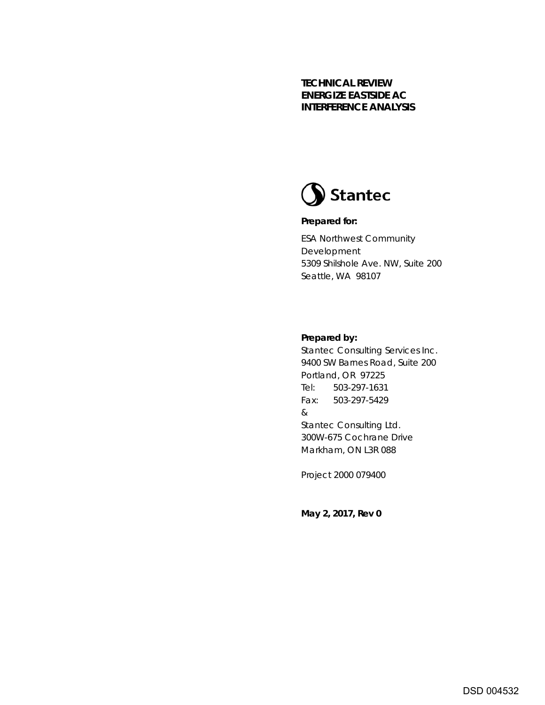

#### **Prepared for:**

ESA Northwest Community Development 5309 Shilshole Ave. NW, Suite 200 Seattle, WA 98107

#### **Prepared by:**

Stantec Consulting Services Inc. 9400 SW Barnes Road, Suite 200 Portland, OR 97225 Tel: 503-297-1631 Fax: 503-297-5429 & Stantec Consulting Ltd. 300W-675 Cochrane Drive Markham, ON L3R 088

Project 2000 079400

**May 2, 2017, Rev 0**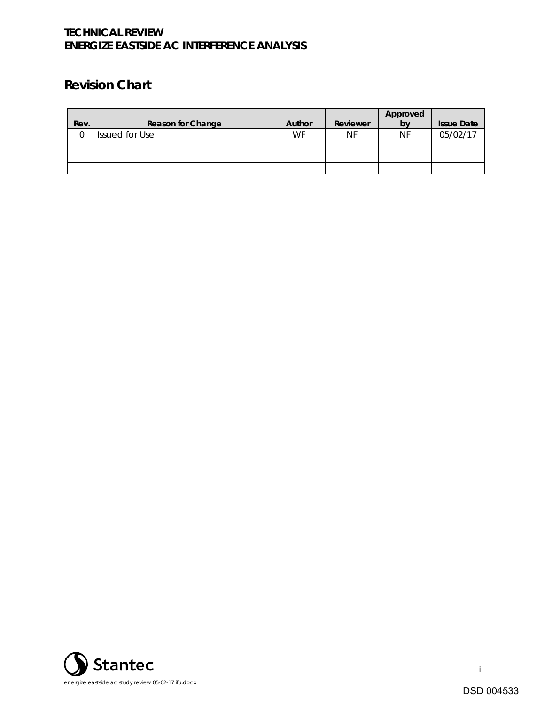# **Revision Chart**

|      |                          |        |          | Approved |                   |
|------|--------------------------|--------|----------|----------|-------------------|
| Rev. | <b>Reason for Change</b> | Author | Reviewer | by       | <b>Issue Date</b> |
|      | <b>Issued for Use</b>    | WF     | NF       | NF       | 05/02/17          |
|      |                          |        |          |          |                   |
|      |                          |        |          |          |                   |
|      |                          |        |          |          |                   |

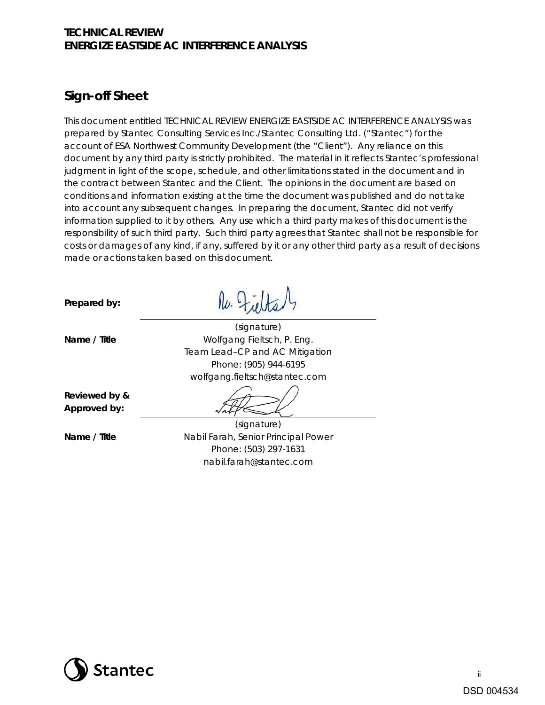### **Sign-off Sheet**

This document entitled TECHNICAL REVIEW ENERGIZE EASTSIDE AC INTERFERENCE ANALYSIS was prepared by Stantec Consulting Services Inc./Stantec Consulting Ltd. ("Stantec") for the account of ESA Northwest Community Development (the "Client"). Any reliance on this document by any third party is strictly prohibited. The material in it reflects Stantec's professional judgment in light of the scope, schedule, and other limitations stated in the document and in the contract between Stantec and the Client. The opinions in the document are based on conditions and information existing at the time the document was published and do not take into account any subsequent changes. In preparing the document, Stantec did not verify information supplied to it by others. Any use which a third party makes of this document is the responsibility of such third party. Such third party agrees that Stantec shall not be responsible for costs or damages of any kind, if any, suffered by it or any other third party as a result of decisions made or actions taken based on this document.

**Prepared by:**

Ru. Field

(signature) **Name / Title** Wolfgang Fieltsch, P. Eng. Team Lead–CP and AC Mitigation Phone: (905) 944-6195 wolfgang.fieltsch@stantec.com

**Reviewed by & Approved by:**

(signature) **Name / Title** Nabil Farah, Senior Principal Power Phone: (503) 297-1631 nabil.farah@stantec.com

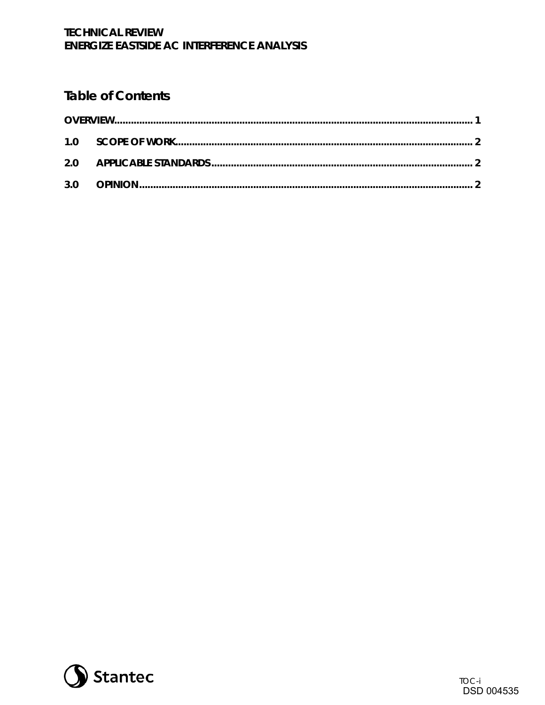# **Table of Contents**

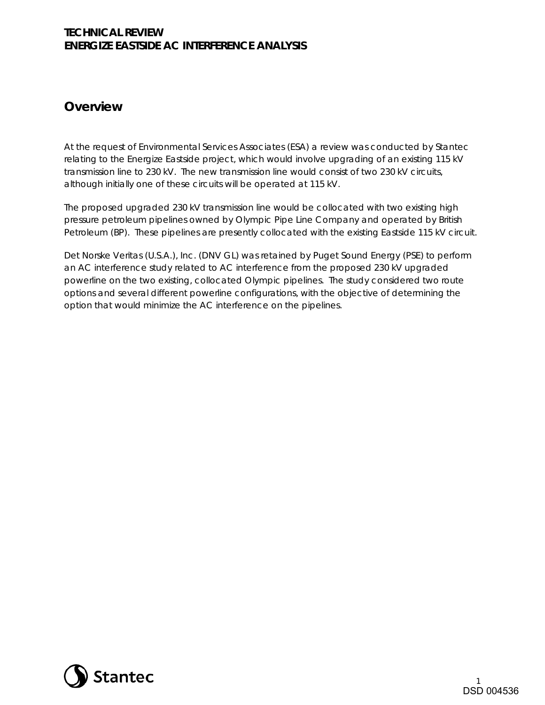### <span id="page-4-0"></span>**Overview**

At the request of Environmental Services Associates (ESA) a review was conducted by Stantec relating to the Energize Eastside project, which would involve upgrading of an existing 115 kV transmission line to 230 kV. The new transmission line would consist of two 230 kV circuits, although initially one of these circuits will be operated at 115 kV.

The proposed upgraded 230 kV transmission line would be collocated with two existing high pressure petroleum pipelines owned by Olympic Pipe Line Company and operated by British Petroleum (BP). These pipelines are presently collocated with the existing Eastside 115 kV circuit.

Det Norske Veritas (U.S.A.), Inc. (DNV GL) was retained by Puget Sound Energy (PSE) to perform an AC interference study related to AC interference from the proposed 230 kV upgraded powerline on the two existing, collocated Olympic pipelines. The study considered two route options and several different powerline configurations, with the objective of determining the option that would minimize the AC interference on the pipelines.

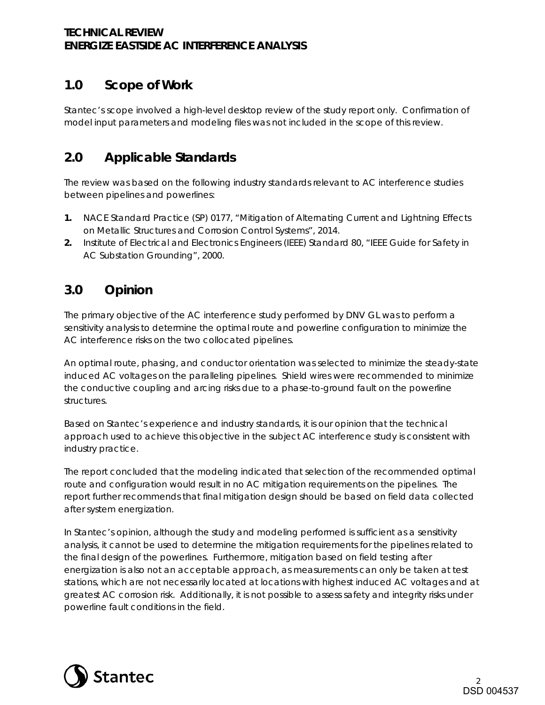# <span id="page-5-0"></span>**1.0 Scope of Work**

Stantec's scope involved a high-level desktop review of the study report only. Confirmation of model input parameters and modeling files was not included in the scope of this review.

## <span id="page-5-1"></span>**2.0 Applicable Standards**

The review was based on the following industry standards relevant to AC interference studies between pipelines and powerlines:

- **1.** NACE Standard Practice (SP) 0177, "Mitigation of Alternating Current and Lightning Effects on Metallic Structures and Corrosion Control Systems", 2014.
- **2.** Institute of Electrical and Electronics Engineers (IEEE) Standard 80, "IEEE Guide for Safety in AC Substation Grounding", 2000.

# <span id="page-5-2"></span>**3.0 Opinion**

The primary objective of the AC interference study performed by DNV GL was to perform a sensitivity analysis to determine the optimal route and powerline configuration to minimize the AC interference risks on the two collocated pipelines.

An optimal route, phasing, and conductor orientation was selected to minimize the steady-state induced AC voltages on the paralleling pipelines. Shield wires were recommended to minimize the conductive coupling and arcing risks due to a phase-to-ground fault on the powerline structures.

Based on Stantec's experience and industry standards, it is our opinion that the technical approach used to achieve this objective in the subject AC interference study is consistent with industry practice.

The report concluded that the modeling indicated that selection of the recommended optimal route and configuration would result in no AC mitigation requirements on the pipelines. The report further recommends that final mitigation design should be based on field data collected after system energization.

In Stantec's opinion, although the study and modeling performed is sufficient as a sensitivity analysis, it cannot be used to determine the mitigation requirements for the pipelines related to the final design of the powerlines. Furthermore, mitigation based on field testing after energization is also not an acceptable approach, as measurements can only be taken at test stations, which are not necessarily located at locations with highest induced AC voltages and at greatest AC corrosion risk. Additionally, it is not possible to assess safety and integrity risks under powerline fault conditions in the field.

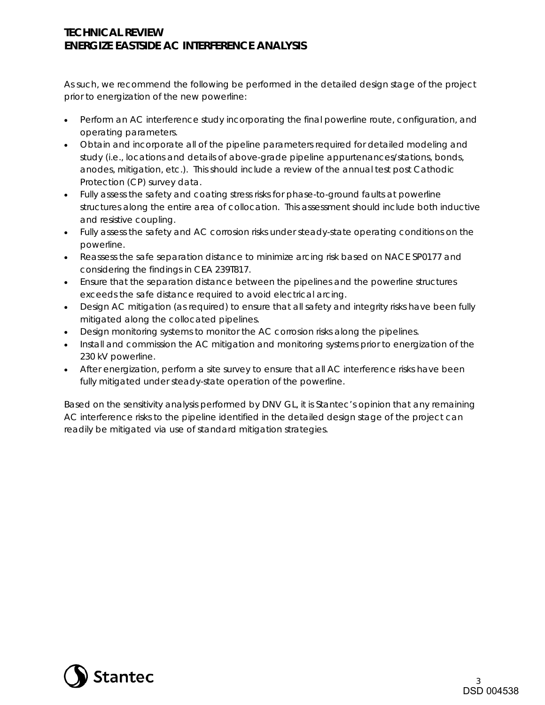As such, we recommend the following be performed in the detailed design stage of the project prior to energization of the new powerline:

- Perform an AC interference study incorporating the final powerline route, configuration, and operating parameters.
- Obtain and incorporate all of the pipeline parameters required for detailed modeling and study (i.e., locations and details of above-grade pipeline appurtenances/stations, bonds, anodes, mitigation, etc.). This should include a review of the annual test post Cathodic Protection (CP) survey data.
- Fully assess the safety and coating stress risks for phase-to-ground faults at powerline structures along the entire area of collocation. This assessment should include both inductive and resistive coupling.
- Fully assess the safety and AC corrosion risks under steady-state operating conditions on the powerline.
- Reassess the safe separation distance to minimize arcing risk based on NACE SP0177 and considering the findings in CEA 239T817.
- Ensure that the separation distance between the pipelines and the powerline structures exceeds the safe distance required to avoid electrical arcing.
- Design AC mitigation (as required) to ensure that all safety and integrity risks have been fully mitigated along the collocated pipelines.
- Design monitoring systems to monitor the AC corrosion risks along the pipelines.
- Install and commission the AC mitigation and monitoring systems prior to energization of the 230 kV powerline.
- After energization, perform a site survey to ensure that all AC interference risks have been fully mitigated under steady-state operation of the powerline.

Based on the sensitivity analysis performed by DNV GL, it is Stantec's opinion that any remaining AC interference risks to the pipeline identified in the detailed design stage of the project can readily be mitigated via use of standard mitigation strategies.